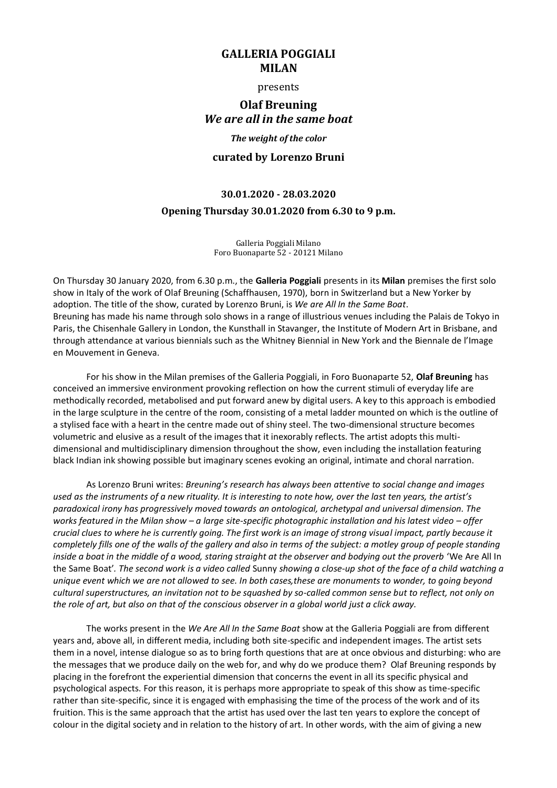## **GALLERIA POGGIALI MILAN**

### presents

# **Olaf Breuning** *We are all in the same boat*

## *The weight of the color*

### **curated by Lorenzo Bruni**

# **30.01.2020 - 28.03.2020 Opening Thursday 30.01.2020 from 6.30 to 9 p.m.**

Galleria Poggiali Milano Foro Buonaparte 52 - 20121 Milano

On Thursday 30 January 2020, from 6.30 p.m., the **Galleria Poggiali** presents in its **Milan** premises the first solo show in Italy of the work of Olaf Breuning (Schaffhausen, 1970), born in Switzerland but a New Yorker by adoption. The title of the show, curated by Lorenzo Bruni, is *We are All In the Same Boat*. Breuning has made his name through solo shows in a range of illustrious venues including the Palais de Tokyo in Paris, the Chisenhale Gallery in London, the Kunsthall in Stavanger, the Institute of Modern Art in Brisbane, and through attendance at various biennials such as the Whitney Biennial in New York and the Biennale de l'Image en Mouvement in Geneva.

For his show in the Milan premises of the Galleria Poggiali, in Foro Buonaparte 52, **Olaf Breuning** has conceived an immersive environment provoking reflection on how the current stimuli of everyday life are methodically recorded, metabolised and put forward anew by digital users. A key to this approach is embodied in the large sculpture in the centre of the room, consisting of a metal ladder mounted on which is the outline of a stylised face with a heart in the centre made out of shiny steel. The two-dimensional structure becomes volumetric and elusive as a result of the images that it inexorably reflects. The artist adopts this multidimensional and multidisciplinary dimension throughout the show, even including the installation featuring black Indian ink showing possible but imaginary scenes evoking an original, intimate and choral narration.

As Lorenzo Bruni writes: *Breuning's research has always been attentive to social change and images used as the instruments of a new rituality. It is interesting to note how, over the last ten years, the artist's paradoxical irony has progressively moved towards an ontological, archetypal and universal dimension. The works featured in the Milan show – a large site-specific photographic installation and his latest video – offer crucial clues to where he is currently going. The first work is an image of strong visual impact, partly because it completely fills one of the walls of the gallery and also in terms of the subject: a motley group of people standing inside a boat in the middle of a wood, staring straight at the observer and bodying out the proverb* 'We Are All In the Same Boat'*. The second work is a video called* Sunny *showing a close-up shot of the face of a child watching a unique event which we are not allowed to see. In both cases,these are monuments to wonder, to going beyond cultural superstructures, an invitation not to be squashed by so-called common sense but to reflect, not only on the role of art, but also on that of the conscious observer in a global world just a click away.* 

The works present in the *We Are All In the Same Boat* show at the Galleria Poggiali are from different years and, above all, in different media, including both site-specific and independent images. The artist sets them in a novel, intense dialogue so as to bring forth questions that are at once obvious and disturbing: who are the messages that we produce daily on the web for, and why do we produce them? Olaf Breuning responds by placing in the forefront the experiential dimension that concerns the event in all its specific physical and psychological aspects. For this reason, it is perhaps more appropriate to speak of this show as time-specific rather than site-specific, since it is engaged with emphasising the time of the process of the work and of its fruition. This is the same approach that the artist has used over the last ten years to explore the concept of colour in the digital society and in relation to the history of art. In other words, with the aim of giving a new